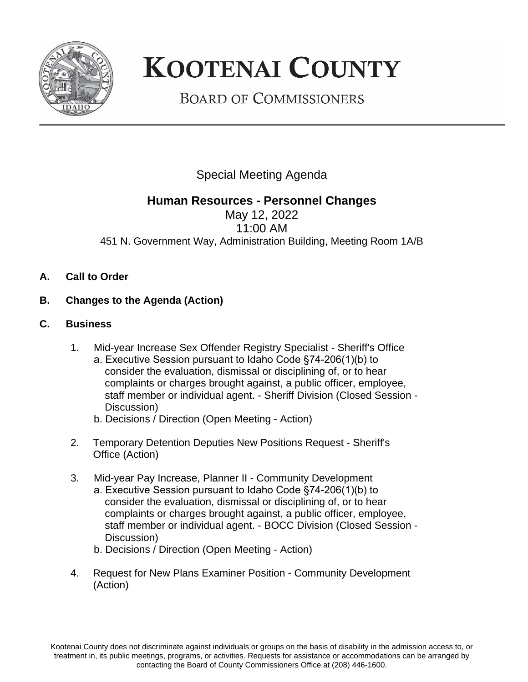

## **KOOTENAI COUNTY**

**BOARD OF COMMISSIONERS** 

Special Meeting Agenda

## **Human Resources - Personnel Changes**

May 12, 2022 11:00 AM 451 N. Government Way, Administration Building, Meeting Room 1A/B

- **A. Call to Order**
- **B. Changes to the Agenda (Action)**
- **C. Business**
	- 1. Mid-year Increase Sex Offender Registry Specialist Sheriff's Office a. Executive Session pursuant to Idaho Code §74-206(1)(b) to consider the evaluation, dismissal or disciplining of, or to hear complaints or charges brought against, a public officer, employee, staff member or individual agent. - Sheriff Division (Closed Session - Discussion)
		- b. Decisions / Direction (Open Meeting Action)
	- 2. Temporary Detention Deputies New Positions Request Sheriff's Office (Action)
	- 3. Mid-year Pay Increase, Planner II Community Development a. Executive Session pursuant to Idaho Code §74-206(1)(b) to consider the evaluation, dismissal or disciplining of, or to hear complaints or charges brought against, a public officer, employee, staff member or individual agent. - BOCC Division (Closed Session - Discussion)
		- b. Decisions / Direction (Open Meeting Action)
	- 4. Request for New Plans Examiner Position Community Development (Action)